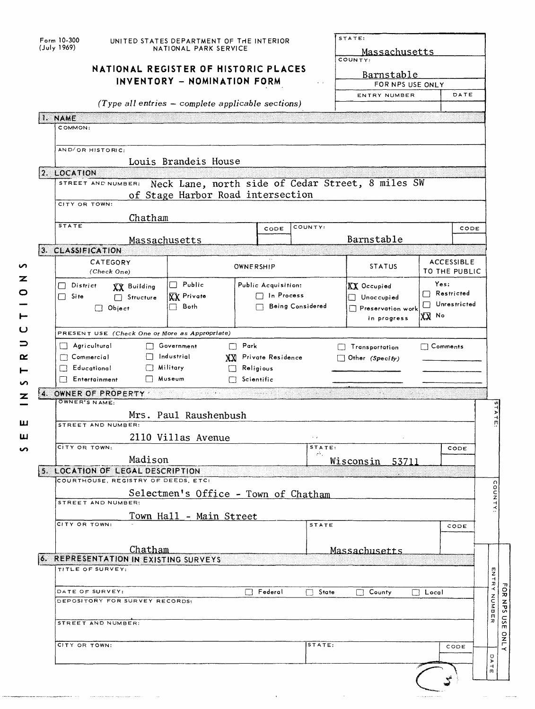| I. NAME      |                                                                                                                                                                                                                                                                                        | NATIONAL REGISTER OF HISTORIC PLACES<br>INVENTORY - NOMINATION FORM<br>$(Type all entries - complete applicable sections)$ |                                          |                         | <u>Massachusetts</u><br>COUNTY:<br>Barnstable<br>FOR NPS USE ONLY<br>ENTRY NUMBER |                                             | DATE |
|--------------|----------------------------------------------------------------------------------------------------------------------------------------------------------------------------------------------------------------------------------------------------------------------------------------|----------------------------------------------------------------------------------------------------------------------------|------------------------------------------|-------------------------|-----------------------------------------------------------------------------------|---------------------------------------------|------|
| 2. LOCATION  | COMMON:<br>AND/OR HISTORIC:<br>STREET AND NUMBER:<br>CITY OR TOWN:<br>Chatham                                                                                                                                                                                                          | Louis Brandeis House<br>Neck Lane, north side of Cedar Street, 8 miles SW<br>of Stage Harbor Road intersection             |                                          |                         |                                                                                   |                                             |      |
| <b>STATE</b> |                                                                                                                                                                                                                                                                                        |                                                                                                                            | CODE                                     | COUNTY:                 |                                                                                   |                                             | CODE |
|              |                                                                                                                                                                                                                                                                                        | Massachusetts                                                                                                              |                                          |                         | Barnstable                                                                        |                                             |      |
|              | 3. CLASSIFICATION<br>CATEGORY<br>(Check One)                                                                                                                                                                                                                                           |                                                                                                                            | OWNERSHIP                                |                         | <b>STATUS</b>                                                                     | <b>ACCESSIBLE</b><br>TO THE PUBLIC          |      |
| $\Box$ Site  | $\Box$ District<br>XX Building<br>Structure<br>$\Box$ Object<br>PRESENT USE (Check One or More as Appropriate)                                                                                                                                                                         | $\Box$ Public<br><b>XX</b> Private<br>$\Box$ Both                                                                          | Public Acquisition:<br>$\Box$ In Process | <b>Being Considered</b> | <b>KX</b> Occupied<br>Unoccupied<br>Preservation work<br>in progress              | Yes:<br>Restricted<br>Unrestricted<br>∣χΩ ∾ |      |
|              | $\Box$ Agricultural<br>$\Box$ Commercial                                                                                                                                                                                                                                               | Government<br>$\Box$ Park                                                                                                  |                                          |                         | $\Box$ Transportation                                                             | $\Box$ Comments                             |      |
| $\sim$       | $\Box$ Educational<br>Entertainment<br>OWNER OF PROPERTY And the contract of the contract of the contract of the contract of the contract of the contract of the contract of the contract of the contract of the contract of the contract of the contract of the cont<br>OWNER'S NAME: | $\Box$ Industrial<br>$\Box$ Military<br>$\Box$ Religious<br>□ Museum<br>$\Box$ Scientific                                  | XX Private Residence                     |                         | $\Box$ Other (Specify)                                                            |                                             |      |
|              | STREET AND NUMBER:<br>CITY OR TOWN:                                                                                                                                                                                                                                                    | Mrs. Paul Raushenbush<br>2110 Villas Avenue                                                                                |                                          | STATE:                  |                                                                                   |                                             | CODE |
|              | Madison<br>5. LOCATION OF LEGAL DESCRIPTION<br>COURTHOUSE, REGISTRY OF DEEDS, ETC:                                                                                                                                                                                                     |                                                                                                                            |                                          | ÷.                      | Wisconsin<br>53711                                                                |                                             |      |
|              | STREET AND NUMBER:                                                                                                                                                                                                                                                                     | Selectmen's Office - Town of Chatham<br>Town Hall - Main Street                                                            |                                          |                         |                                                                                   |                                             |      |
|              | CITY OR TOWN:<br>Chatham                                                                                                                                                                                                                                                               |                                                                                                                            |                                          | <b>STATE</b>            | Massachusetts                                                                     |                                             | CODE |
| r.,          | REPRESENTATION IN EXISTING SURVEYS<br>TITLE OF SURVEY:                                                                                                                                                                                                                                 |                                                                                                                            |                                          |                         |                                                                                   |                                             |      |
|              | DATE OF SURVEY:<br>DEPOSITORY FOR SURVEY RECORDS:<br>STREET AND NUMBER:                                                                                                                                                                                                                |                                                                                                                            | Federal                                  | $\Box$ State            | County<br>┌ ┐                                                                     | $\Box$ Local                                |      |

 $\bar{\bar{z}}$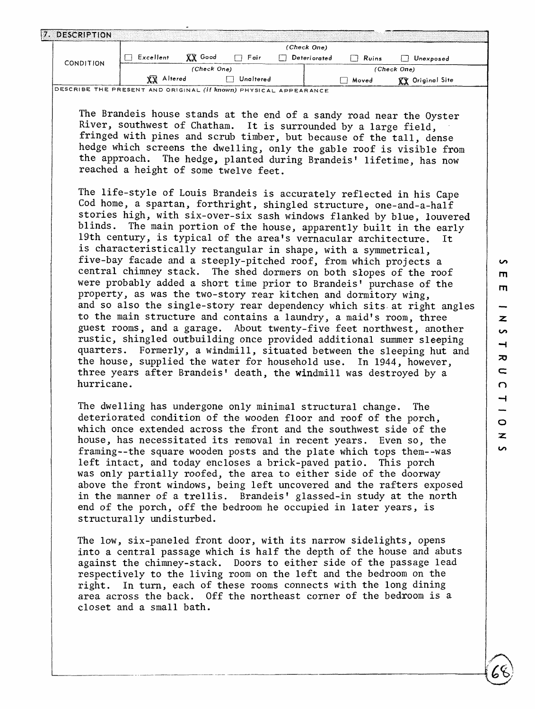| m                        |
|--------------------------|
| m                        |
|                          |
| z                        |
| S                        |
| $\rightarrow$            |
| $\boldsymbol{\pi}$       |
| $\overline{\phantom{0}}$ |
| $\Omega$                 |
| $\overline{\phantom{0}}$ |
| ۰.                       |
| O                        |
| $\mathbf{z}$             |
| x.                       |

| DESCRIPTION      |                   |             |           |              |       |                  |  |
|------------------|-------------------|-------------|-----------|--------------|-------|------------------|--|
|                  |                   |             |           | (Check One)  |       |                  |  |
| <b>CONDITION</b> | Excellent         | Good<br>XХ  | Fair      | Deteriorated | Ruins | Unexposed        |  |
|                  |                   | (Check One) |           |              |       | (Check One)      |  |
|                  | <b>YV</b> Altered |             | Unaltered |              | Moved | XX Original Site |  |

DESCRIBE THE PRESENT AND ORIGINAL, (if **known)** PHYSICAL. APPEARANCE

The Brandeis house stands at the end of a sandy road near the Oyster River, southwest of Chatham. It is surrounded by a large field, fringed with pines and scrub timber, but because of the tall, dense hedge which screens the dwelling, only the gable roof is visible from the approach. The hedge, planted during Brandeis' lifetime, has now reached a height of some twelve feet.

The life-style of Louis Brandeis is accurately reflected in his Cape Cod home, a spartan, forthright, shingled structure, one-and-a-half stories high, with six-over-six sash windows flanked by blue, louvered blinds. The main portion of the house, apparently built in the early 19th century, is typical of the area's vernacular architecture. is characteristically rectangular in shape, with a symmetrical, five-bay facade and a steeply-pitched roof, from which projects a central chimney stack. The shed dormers on both slopes of the roof were probably added a short time prior to Brandeis' purchase of the property, as was the two-story rear kitchen and dormitory wing, and so also the single-story rear dependency which sits at right angles to the main structure and contains a laundry, a maid's room, three guest rooms, and a garage. About twenty-five feet northwest, another rustic, shingled outbuilding once provided additional summer sleeping quarters. Formerly, a windmill, situated between the sleeping hut and the house, supplied the water for household use. In 1944, however, three years after Brandeis' death, the windmill was destroyed by a hurricane.

The dwelling has undergone only minimal structural change. The deteriorated condition of the wooden floor and roof of the porch, which once extended across the front and the southwest side of the house, has necessitated its removal in recent years. Even so, the framing--the square wooden posts and the plate which tops them--was left intact, and today encloses a brick-paved patio. This porch was only partially roofed, the area to either side of the doorway above the front windows, being left uncovered and the rafters exposed in the manner of a trellis. Brandeis' glassed-in study at the north end of the porch, off the bedroom he occupied in later years, is structurally undisturbed.

The low, six-paneled front door, with its narrow sidelights, opens into a central passage which is half the depth of the house and abuts against the chimney-stack. Doors to either side of the passage lead respectively to the living room on the left and the bedroom on the right. In turn, each of these rooms connects with the long dining area across the back. Off the northeast corner of the bedroom is a closet and a small bath.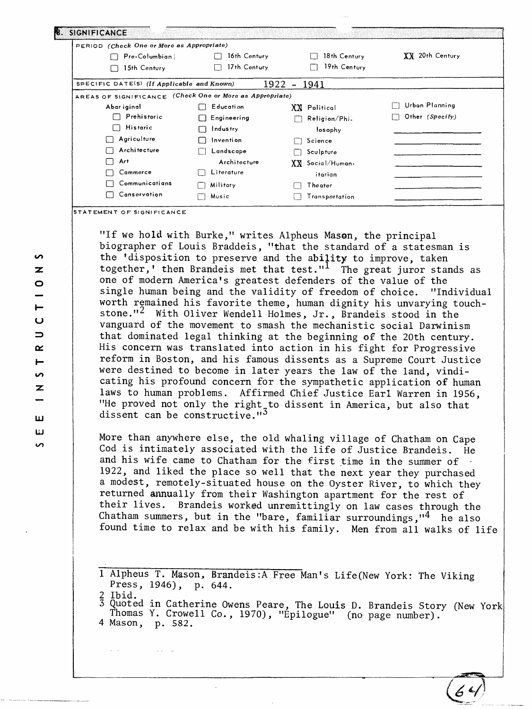| PERIOD (Check One or More as Appropriate)                |              |                  |                 |
|----------------------------------------------------------|--------------|------------------|-----------------|
| Pre-Columbian                                            | 16th Century | 18th Century     | XX 20th Century |
| 15th Century                                             | 17th Century | 19th Century     |                 |
| SPECIFIC DATE(S) (If Applicable and Known)               |              | $1922 - 1941$    |                 |
| AREAS OF SIGNIFICANCE (Check One or More as Appropriate) |              |                  |                 |
| Abar iginal                                              | Educati on   | XX Political     | Urban Planning  |
| Prehistoric                                              | Engineering  | Religion/Phi.    | Other (Specify) |
| Historic                                                 | Industry     | losophy          |                 |
| Agriculture                                              | Invention    | Science          |                 |
| Architecture                                             | Landscape    | Sculpture        |                 |
| Art<br>$\overline{\phantom{a}}$                          | Architecture | XX Social/Human- |                 |
| Cammerce                                                 | Literature   | itarian          |                 |
| Communications                                           | Military     | Theater          |                 |
| Canservation                                             | Music        | Transportation   |                 |

**STATEMENT OF SIGNIFICANCE**

"If we hold with Burke," writes Alpheus Mason, the principal biographer of Louis Braddeis, "that the standard of a statesman is the 'disposition to preserve and the ability to improve, taken together,' then Brandeis met that test."<sup>1</sup> The great juror stands as one of modern America's greatest defenders of the value of the single human being and the validity of freedom of choice. "Individual worth remained his favorite theme, human dignity his unvarying touchstone."<sup>2</sup> With Oliver Wendell Holmes, Jr., Brandeis stood in the vanguard of the movement to smash the mechanistic social Darwinism that dominated legal thinking at the beginning **of** the 20th century. His concern was translated into action in his fight for Progressive reform in Boston, and his famous dissents as a Supreme Court Justice were destined to become in later years the law of the land, vindicating his profound concern for the sympathetic application of human laws to human problems. Affirmed Chief Justice Earl Warren in 1956, "He proved not only the right to dissent in America, but also that dissent can be constructive."<sup>5</sup>

More than anywhere else, the old whaling village of Chatham on Cape Cod is intimately associated with the life of Justice Brandeis. He and his wife came to Chatham for the first time in the summer of 1922, and liked the place so well that the next year they purchased a modest, remotely-situated house on the Oyster River, to which they returned annually from their Washington apartment for the rest of their lives. Brandeis worked unremittingly on law cases through the Chatham summers, but in the "bare, familiar surroundings,"<sup>4</sup> he also found time to relax and be with his family. Men from all walks of life

1 Alpheus T. Mason, Brandeis:A Free Man's Life(New York: The Viking Press, 1946), p. 644. Ibid.

3 Quoted in Catherine Owens Peare, The Louis D. Brandeis Story (New York Thomas Y. Crowell Co., 1970), "Epilogue" (no page number). 4 Mason, p. 582.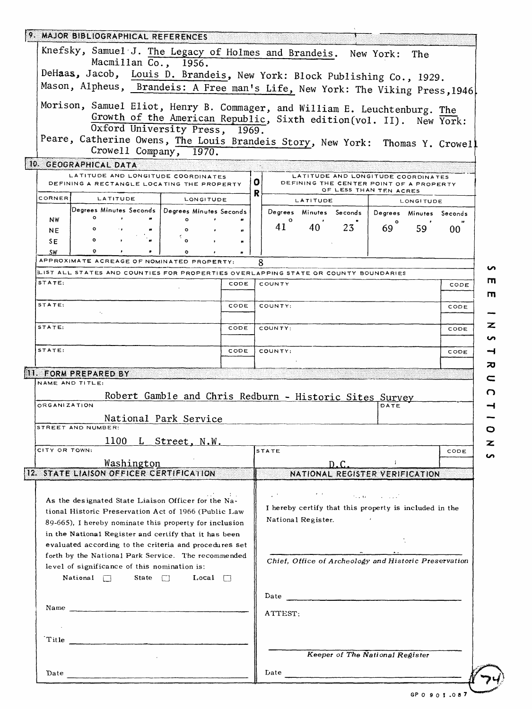|                     | 9. MAJOR BIBLIOGRAPHICAL REFERENCES                                                                                                                                                                                                                                                                                                                                                                                                    |                |        |    |               |          |                         |                                                                                                         |                         |      |
|---------------------|----------------------------------------------------------------------------------------------------------------------------------------------------------------------------------------------------------------------------------------------------------------------------------------------------------------------------------------------------------------------------------------------------------------------------------------|----------------|--------|----|---------------|----------|-------------------------|---------------------------------------------------------------------------------------------------------|-------------------------|------|
|                     | Knefsky, Samuel J. The Legacy of Holmes and Brandeis. New York:                                                                                                                                                                                                                                                                                                                                                                        |                |        |    |               |          |                         |                                                                                                         | The                     |      |
|                     | Macmillan Co., 1956.                                                                                                                                                                                                                                                                                                                                                                                                                   |                |        |    |               |          |                         |                                                                                                         |                         |      |
|                     | DeHaas, Jacob, Louis D. Brandeis, New York: Block Publishing Co., 1929.                                                                                                                                                                                                                                                                                                                                                                |                |        |    |               |          |                         |                                                                                                         |                         |      |
|                     | Mason, Alpheus, Brandeis: A Free man's Life, New York: The Viking Press, 1946                                                                                                                                                                                                                                                                                                                                                          |                |        |    |               |          |                         |                                                                                                         |                         |      |
|                     | Morison, Samuel Eliot, Henry B. Commager, and William E. Leuchtenburg. The                                                                                                                                                                                                                                                                                                                                                             |                |        |    |               |          |                         |                                                                                                         |                         |      |
|                     | Growth of the American Republic, Sixth edition (vol. II). New York:                                                                                                                                                                                                                                                                                                                                                                    |                |        |    |               |          |                         |                                                                                                         |                         |      |
|                     | Oxford University Press, 1969.                                                                                                                                                                                                                                                                                                                                                                                                         |                |        |    |               |          |                         |                                                                                                         |                         |      |
|                     | Peare, Catherine Owens, The Louis Brandeis Story, New York: Thomas Y. Crowell                                                                                                                                                                                                                                                                                                                                                          |                |        |    |               |          |                         |                                                                                                         |                         |      |
|                     | Crowell Company, 1970.                                                                                                                                                                                                                                                                                                                                                                                                                 |                |        |    |               |          |                         |                                                                                                         |                         |      |
|                     | 10. GEOGRAPHICAL DATA                                                                                                                                                                                                                                                                                                                                                                                                                  |                |        |    |               |          |                         |                                                                                                         |                         |      |
|                     | LATITUDE AND LONGITUDE COORDINATES<br>DEFINING A RECTANGLE LOCATING THE PROPERTY                                                                                                                                                                                                                                                                                                                                                       |                |        | 0. |               |          |                         | LATITUDE AND LONGITUDE COORDINATES<br>DEFINING THE CENTER POINT OF A PROPERTY<br>OF LESS THAN TEN ACRES |                         |      |
| CORNER              | LATITUDE                                                                                                                                                                                                                                                                                                                                                                                                                               | LONGITUDE      |        | R  |               | LATITUDE |                         |                                                                                                         | LONGITUDE               |      |
|                     | Degrees Minutes Seconds   Degrees Minutes Seconds                                                                                                                                                                                                                                                                                                                                                                                      |                |        |    |               |          | Degrees Minutes Seconds |                                                                                                         | Degrees Minutes Seconds |      |
| <b>NW</b>           | ۰                                                                                                                                                                                                                                                                                                                                                                                                                                      | $\circ$        | ,      |    | $\circ$<br>41 | 40       | 23                      |                                                                                                         |                         |      |
| <b>NE</b>           |                                                                                                                                                                                                                                                                                                                                                                                                                                        |                |        |    |               |          |                         | 69                                                                                                      | 59                      | 00   |
| SE.                 |                                                                                                                                                                                                                                                                                                                                                                                                                                        | $\Omega$       |        |    |               |          |                         |                                                                                                         |                         |      |
| SW                  | APPROXIMATE ACREAGE OF NOMINATED PROPERTY:                                                                                                                                                                                                                                                                                                                                                                                             |                |        |    |               |          |                         |                                                                                                         |                         |      |
|                     | LIST ALL STATES AND COUNTIES FOR PROPERTIES OVERLAPPING STATE OR COUNTY BOUNDARIES                                                                                                                                                                                                                                                                                                                                                     |                |        | 8  |               |          |                         |                                                                                                         |                         |      |
| STATE:              |                                                                                                                                                                                                                                                                                                                                                                                                                                        |                | CODE   |    | COUNTY        |          |                         |                                                                                                         |                         | CODE |
|                     |                                                                                                                                                                                                                                                                                                                                                                                                                                        |                |        |    |               |          |                         |                                                                                                         |                         |      |
| STATE:              |                                                                                                                                                                                                                                                                                                                                                                                                                                        |                | CODE   |    | COUNTY:       |          |                         |                                                                                                         |                         | CODE |
|                     |                                                                                                                                                                                                                                                                                                                                                                                                                                        |                |        |    |               |          |                         |                                                                                                         |                         |      |
|                     |                                                                                                                                                                                                                                                                                                                                                                                                                                        |                |        |    |               |          |                         |                                                                                                         |                         |      |
| STATE:              |                                                                                                                                                                                                                                                                                                                                                                                                                                        |                | CODE   |    | COUNTY:       |          |                         |                                                                                                         |                         | CODE |
| STATE:              |                                                                                                                                                                                                                                                                                                                                                                                                                                        |                | CODE   |    | COUNTY:       |          |                         |                                                                                                         |                         |      |
|                     |                                                                                                                                                                                                                                                                                                                                                                                                                                        |                |        |    |               |          |                         |                                                                                                         |                         | CODE |
|                     | 11. FORM PREPARED BY                                                                                                                                                                                                                                                                                                                                                                                                                   |                |        |    |               |          |                         |                                                                                                         |                         |      |
|                     | NAME AND TITLE:                                                                                                                                                                                                                                                                                                                                                                                                                        |                |        |    |               |          |                         |                                                                                                         |                         |      |
|                     | Robert Gamble and Chris Redburn - Historic Sites Survey                                                                                                                                                                                                                                                                                                                                                                                |                |        |    |               |          |                         |                                                                                                         |                         |      |
| <b>ORGANIZATION</b> |                                                                                                                                                                                                                                                                                                                                                                                                                                        |                |        |    |               |          |                         | DATE                                                                                                    |                         |      |
|                     | National Park Service                                                                                                                                                                                                                                                                                                                                                                                                                  |                |        |    |               |          |                         |                                                                                                         |                         |      |
|                     | STREET AND NUMBER:                                                                                                                                                                                                                                                                                                                                                                                                                     |                |        |    |               |          |                         |                                                                                                         |                         |      |
|                     | 1100                                                                                                                                                                                                                                                                                                                                                                                                                                   | L Street, N.W. |        |    |               |          |                         |                                                                                                         |                         |      |
| CITY OR TOWN:       |                                                                                                                                                                                                                                                                                                                                                                                                                                        |                |        |    | <b>STATE</b>  |          |                         |                                                                                                         |                         | CODE |
|                     | Washington                                                                                                                                                                                                                                                                                                                                                                                                                             |                |        |    |               |          | D.C.                    | <b>Service State</b>                                                                                    |                         |      |
|                     | 12. STATE LIAISON OFFICER CERTIFICATION                                                                                                                                                                                                                                                                                                                                                                                                |                |        |    |               |          |                         | NATIONAL REGISTER VERIFICATION                                                                          |                         |      |
|                     |                                                                                                                                                                                                                                                                                                                                                                                                                                        |                |        |    |               |          |                         |                                                                                                         |                         |      |
|                     | As the designated State Liaison Officer for the Na-                                                                                                                                                                                                                                                                                                                                                                                    |                | いたいしおい |    |               |          |                         | <b>Supra Contractor</b>                                                                                 |                         |      |
|                     | tional Historic Preservation Act of 1966 (Public Law                                                                                                                                                                                                                                                                                                                                                                                   |                |        |    |               |          |                         | I hereby certify that this property is included in the                                                  |                         |      |
|                     | 89-665). I hereby nominate this property for inclusion                                                                                                                                                                                                                                                                                                                                                                                 |                |        |    |               |          | National Register.      |                                                                                                         |                         |      |
|                     | in the National Register and certify that it has been                                                                                                                                                                                                                                                                                                                                                                                  |                |        |    |               |          |                         |                                                                                                         |                         |      |
|                     | evaluated according to the criteria and procedures set                                                                                                                                                                                                                                                                                                                                                                                 |                |        |    |               |          |                         |                                                                                                         |                         |      |
|                     | forth by the National Park Service. The recommended                                                                                                                                                                                                                                                                                                                                                                                    |                |        |    |               |          |                         |                                                                                                         |                         |      |
|                     | level of significance of this nomination is:                                                                                                                                                                                                                                                                                                                                                                                           |                |        |    |               |          |                         | Chief, Office of Archeology and Historic Preservation                                                   |                         |      |
|                     | National 7 State 7 Local 7                                                                                                                                                                                                                                                                                                                                                                                                             |                |        |    |               |          |                         |                                                                                                         |                         |      |
|                     |                                                                                                                                                                                                                                                                                                                                                                                                                                        |                |        |    |               |          |                         |                                                                                                         |                         |      |
|                     |                                                                                                                                                                                                                                                                                                                                                                                                                                        |                |        |    |               |          |                         |                                                                                                         |                         |      |
|                     | Name $\frac{1}{\sqrt{1-\frac{1}{2}}\left(\frac{1}{\sqrt{1-\frac{1}{2}}\left(\frac{1}{\sqrt{1-\frac{1}{2}}\left(\frac{1}{\sqrt{1-\frac{1}{2}}\left(\frac{1}{\sqrt{1-\frac{1}{2}}\left(\frac{1}{\sqrt{1-\frac{1}{2}}\left(\frac{1}{\sqrt{1-\frac{1}{2}}\left(\frac{1}{\sqrt{1-\frac{1}{2}}\left(\frac{1}{\sqrt{1-\frac{1}{2}}\left(\frac{1}{\sqrt{1-\frac{1}{2}}\left(\frac{1}{\sqrt{1-\frac{1}{2}}\left(\frac{1}{\sqrt{1-\frac{1}{2}}\$ |                |        |    | ATTEST:       |          |                         |                                                                                                         |                         |      |
|                     |                                                                                                                                                                                                                                                                                                                                                                                                                                        |                |        |    |               |          |                         |                                                                                                         |                         |      |
|                     |                                                                                                                                                                                                                                                                                                                                                                                                                                        |                |        |    |               |          |                         |                                                                                                         |                         |      |
|                     | Title $\overline{\phantom{a}}$                                                                                                                                                                                                                                                                                                                                                                                                         |                |        |    |               |          |                         |                                                                                                         |                         |      |
|                     |                                                                                                                                                                                                                                                                                                                                                                                                                                        |                |        |    |               |          |                         | Keeper of The National Register                                                                         |                         |      |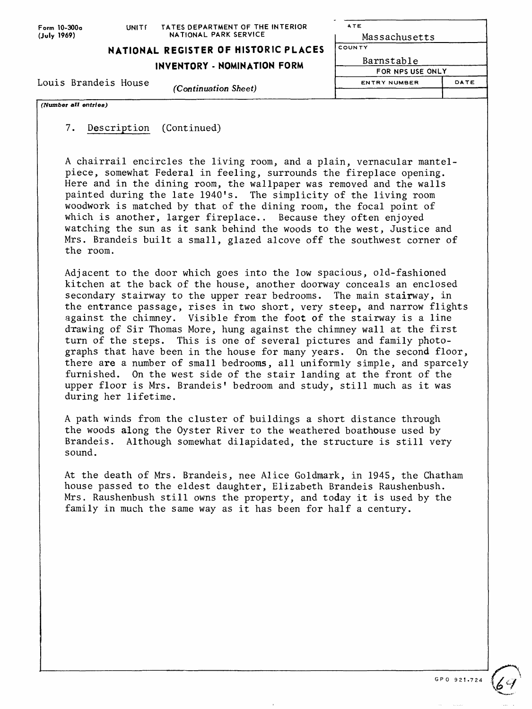| Form 10-300a<br>(July 1969) | UNITE                | TATES DEPARTMENT OF THE INTERIOR<br>NATIONAL PARK SERVICE | <b>ATE</b><br>Massachusetts |      |
|-----------------------------|----------------------|-----------------------------------------------------------|-----------------------------|------|
|                             |                      | NATIONAL REGISTER OF HISTORIC PLACES                      | COUNTY                      |      |
|                             |                      | Barnstable                                                |                             |      |
|                             |                      | INVENTORY - NOMINATION FORM                               | FOR NPS USE ONLY            |      |
| Louis Brandeis House        | (Continuation Sheet) |                                                           | <b>ENTRY NUMBER</b>         | DATE |
|                             |                      |                                                           |                             |      |
| (Number all entries)        |                      |                                                           |                             |      |

7. Description (Continued)

A chairrail encircles the living room, and a plain, vernacular mantelpiece, somewhat Federal in feeling, surrounds the fireplace opening. Here and in the dining room, the wallpaper was removed and the walls painted during the late 1940's. The simplicity of the living room woodwork is matched by that of the dining room, the focal point of which is another, larger fireplace.. Because they often enjoyed watching the sun as it sank behind the woods to the west, Justice and Mrs. Brandeis built a small, glazed alcove off the southwest corner of the room.

Adjacent to the door which goes into the low spacious, old-fashioned kitchen at the back of the house, another doorway conceals an enclosed secondary stairway to the upper rear bedrooms. The main stairway, in the entrance passage, rises in two short, very steep, and narrow flights against the chimney. Visible from the foot of the stairway is a line drawing of Sir Thomas More, hung against the chimney wall at the first turn of the steps. This is one of several pictures and family photographs that have been in the house for many years. On the second floor, there are a number of small bedrooms, all uniformly simple, and sparcely furnished. On the west side of the stair landing at the front of the upper floor is Mrs. Brandeis' bedroom and study, still much as it was during her lifetime.

A path winds from the cluster of buildings a short distance through the woods along the Oyster River to the weathered boathouse used by Brandeis. Although somewhat dilapidated, the structure is still very sound.

At the death of Mrs. Brandeis, nee Alice Goldmark, in 1945, the Chatham house passed to the eldest daughter, Elizabeth Brandeis Raushenbush. Mrs. Raushenbush still owns the property, and today it is used by the family in much the same way as it has been for half a century.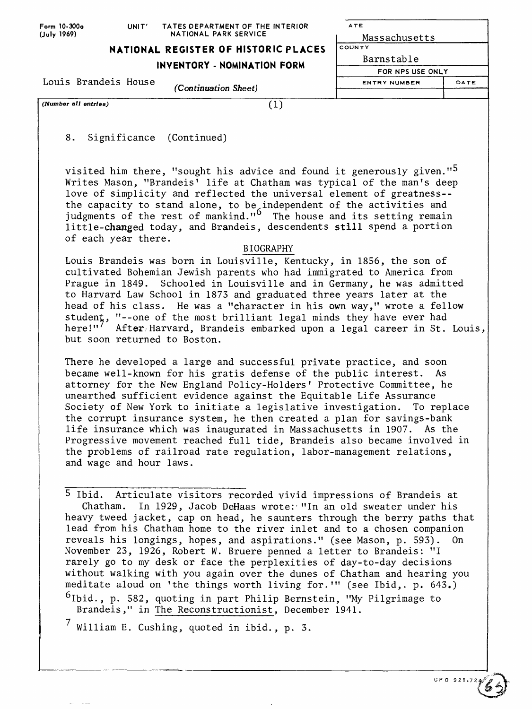| Form 10-300a<br>UNIT' |  | TATES DEPARTMENT OF THE INTERIOR     | ATE                 |      |
|-----------------------|--|--------------------------------------|---------------------|------|
| (July 1969)           |  | NATIONAL PARK SERVICE                | Massachusetts       |      |
|                       |  | NATIONAL REGISTER OF HISTORIC PLACES | <b>COUNTY</b>       |      |
|                       |  | INVENTORY - NOMINATION FORM          | Barnstable          |      |
|                       |  |                                      | FOR NPS USE ONLY    |      |
| Louis Brandeis House  |  |                                      | <b>ENTRY NUMBER</b> | DATE |
|                       |  | (Continuation Sheet)                 |                     |      |
| (Number all entries)  |  |                                      |                     |      |

8. Significance (Continued)

visited him there, "sought his advice and found it generously given." $\delta$ Writes Mason, "Brandeis' life at Chatham was typical of the man's deep love of simplicity and reflected the universal element of greatness- the capacity to stand alone, to be independent of the activities and judgments of the rest of mankind." The house and its setting remain little-changed today, and Brandeis, descendents still spend a portion of each year there.

## BIOGRAPHY

Louis Brandeis was born in Louisville, Kentucky, in 1856, the son of cultivated Bohemian Jewish parents who had immigrated to America from Prague in 1849. Schooled in Louisville and in Germany, he was admitted to Harvard Law School in 1873 and graduated three years later at the head of his class. He was a "character in his own way," wrote a fellow student, "--one of the most brilliant legal minds they have ever had here!"<sup>/</sup> After Harvard, Brandeis embarked upon a legal career in St. Louis, but soon returned to Boston.

There he developed a large and successful private practice, and soon became well-known for his gratis defense of the public interest. As attorney for the New England Policy-Holders' Protective Committee, he unearthed sufficient evidence against the Equitable Life Assurance Society of New York to initiate a legislative investigation. To replace the corrupt insurance system, he then created a plan for savings-bank life insurance which was inaugurated in Massachusetts in 1907. As the Progressive movement reached full tide, Brandeis also became involved in the problems of railroad rate regulation, labor-management relations, and wage and hour laws.

5 Ibid. Articulate visitors recorded vivid impressions of Brandeis at Chatham. In 1929, Jacob DeHaas wrote: "In an old sweater under his heavy tweed jacket, cap on head, he saunters through the berry paths that lead from his Chatham home to the river inlet and to a chosen companion reveals his longings, hopes, and aspirations." (see Mason, p. 593). On November 23, 1926, Robert W. Bruere penned a letter to Brandeis: "I rarely go to my desk or face the perplexities of day-to-day decisions without walking with you again over the dunes of Chatham and hearing you meditate aloud on 'the things worth living for.'" (see Ibid,, p. 643.)

<sup>6</sup>Ibid., p. 582, quoting in part Philip Bernstein, "My Pilgrimage to Brandeis," in The Reconstructionist, December 1941.

 $^7$  William E. Cushing, quoted in ibid., p. 3.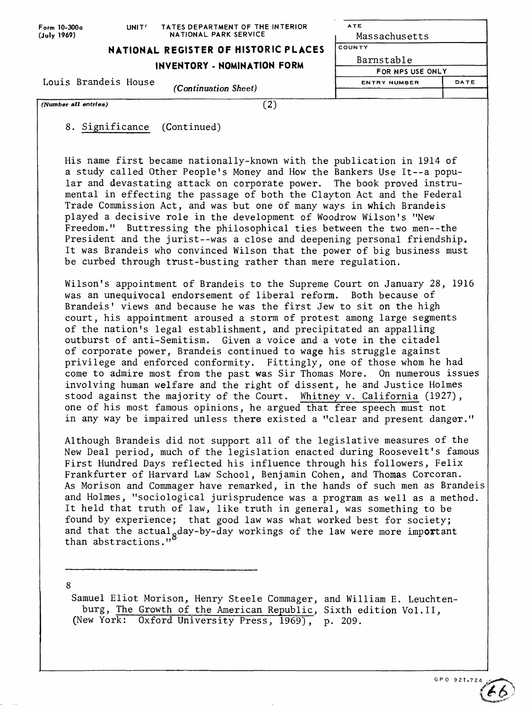| Form 10-300a<br>(July 1969) | UNIT <sup>I</sup>           | TATES DEPARTMENT OF THE INTERIOR<br>NATIONAL PARK SERVICE | <b>ATE</b><br>Massachusetts |      |
|-----------------------------|-----------------------------|-----------------------------------------------------------|-----------------------------|------|
|                             |                             | NATIONAL REGISTER OF HISTORIC PLACES                      | <b>COUNTY</b>               |      |
|                             | INVENTORY - NOMINATION FORM |                                                           |                             |      |
|                             |                             | FOR NPS USE ONLY                                          |                             |      |
| Louis Brandeis House        |                             |                                                           | <b>ENTRY NUMBER</b>         | DATE |
|                             |                             | <i>(Continuation Sheet)</i>                               |                             |      |
| (Number all entries)        |                             | $\left 2\right\rangle$                                    |                             |      |

8. Significance (Continued)

His name first became nationally-known with the publication in 1914 of a study called Other People's Money and How the Bankers Use It--a popular and devastating attack on corporate power. The book proved instrumental in effecting the passage of both the Clayton Act and the Federal Trade Commission Act, and was but one of many ways in which Brandeis played a decisive role in the development of Woodrow Wilson's "New Freedom." Buttressing the philosophical ties between the two men--the President and the jurist--was a close and deepening personal friendship. It was Brandeis who convinced Wilson that the power of big business must be curbed through trust-busting rather than mere regulation.

Wilson's appointment of Brandeis to the Supreme Court on January 28, 1916 was an unequivocal endorsement of liberal reform. Both because of Brandeis' views and because he was the first Jew to sit on the high court, his appointment aroused a storm of protest among large segments of the nation's legal establishment, and precipitated an appalling outburst of anti-Semitism. Given a voice and a vote in the citadel of corporate power, Brandeis continued to wage his struggle against privilege and enforced conformity. Fittingly, one of those whom he had come to admire most from the past was Sir Thomas More. On numerous issues involving human welfare and the right of dissent, he and Justice Holmes stood against the majority of the Court. Whitney v. California (1927), one of his most famous opinions, he argued that free speech must not in any way be impaired unless there existed a "clear and present danger."

Although Brandeis did not support all of the legislative measures of the New Deal period, much of the legislation enacted during Roosevelt's famous First Hundred Days reflected his influence through his followers, Felix Frankfurter of Harvard Law School, Benjamin Cohen, and Thomas Corcoran. As Morison and Commager have remarked, in the hands of such men as Brandeis and Holmes, "sociological jurisprudence was a program as well as a method. It held that truth of law, like truth in general, was something to be found by experience; that good law was what worked best for society; and that the actual<sub>g</sub>day-by-day workings of the law were more important than abstractions."

8

Samuel Eliot Morison, Henry Steele Commager, and William E. Leuchtenburg, The Growth of the American Republic, Sixth edition Vol.11, (New York: Oxford University Press, 1969), p. 209.